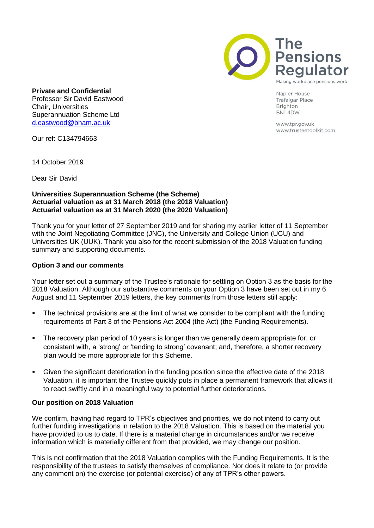

Napier House **Trafalgar Place** Brighton BN14DW

> www.tpr.gov.uk www.trusteetoolkit.com

**Private and Confidential** Professor Sir David Eastwood Chair, Universities Superannuation Scheme Ltd [d.eastwood@bham.ac.uk](mailto:d.eastwood@bham.ac.uk)

Our ref: C134794663

14 October 2019

Dear Sir David

# **Universities Superannuation Scheme (the Scheme) Actuarial valuation as at 31 March 2018 (the 2018 Valuation) Actuarial valuation as at 31 March 2020 (the 2020 Valuation)**

Thank you for your letter of 27 September 2019 and for sharing my earlier letter of 11 September with the Joint Negotiating Committee (JNC), the University and College Union (UCU) and Universities UK (UUK). Thank you also for the recent submission of the 2018 Valuation funding summary and supporting documents.

# **Option 3 and our comments**

Your letter set out a summary of the Trustee's rationale for settling on Option 3 as the basis for the 2018 Valuation. Although our substantive comments on your Option 3 have been set out in my 6 August and 11 September 2019 letters, the key comments from those letters still apply:

- **•** The technical provisions are at the limit of what we consider to be compliant with the funding requirements of Part 3 of the Pensions Act 2004 (the Act) (the Funding Requirements).
- The recovery plan period of 10 years is longer than we generally deem appropriate for, or consistent with, a 'strong' or 'tending to strong' covenant; and, therefore, a shorter recovery plan would be more appropriate for this Scheme.
- Given the significant deterioration in the funding position since the effective date of the 2018 Valuation, it is important the Trustee quickly puts in place a permanent framework that allows it to react swiftly and in a meaningful way to potential further deteriorations.

### **Our position on 2018 Valuation**

We confirm, having had regard to TPR's objectives and priorities, we do not intend to carry out further funding investigations in relation to the 2018 Valuation. This is based on the material you have provided to us to date. If there is a material change in circumstances and/or we receive information which is materially different from that provided, we may change our position.

This is not confirmation that the 2018 Valuation complies with the Funding Requirements. It is the responsibility of the trustees to satisfy themselves of compliance. Nor does it relate to (or provide any comment on) the exercise (or potential exercise) of any of TPR's other powers.